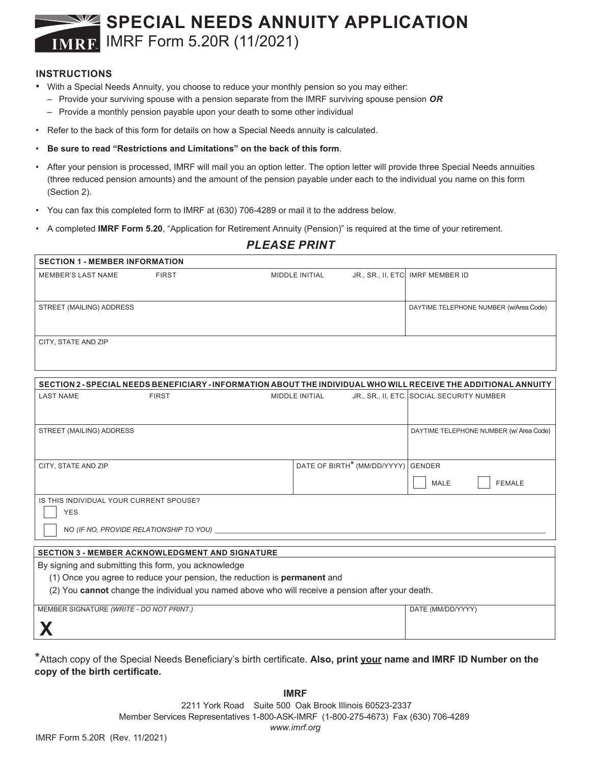# **SPECIAL NEEDS ANNUITY APPLICATION** IMRF Form 5.20R (11/2021)

#### **INSTRUCTIONS**

- With a Special Needs Annuity, you choose to reduce your monthly pension so you may either:
	- Provide your surviving spouse with a pension separate from the IMRF surviving spouse pension *OR*
	- Provide a monthly pension payable upon your death to some other individual
- Refer to the back of this form for details on how a Special Needs annuity is calculated.
- **Be sure to read "Restrictions and Limitations" on the back of this form**.
- After your pension is processed, IMRF will mail you an option letter. The option letter will provide three Special Needs annuities (three reduced pension amounts) and the amount of the pension payable under each to the individual you name on this form (Section 2).
- You can fax this completed form to IMRF at (630) 706-4289 or mail it to the address below.
- A completed **IMRF Form 5.20**, "Application for Retirement Annuity (Pension)" is required at the time of your retirement.

| FLEAJE FRINT                                                                                                                      |                                         |  |                       |                                                |                                           |  |  |
|-----------------------------------------------------------------------------------------------------------------------------------|-----------------------------------------|--|-----------------------|------------------------------------------------|-------------------------------------------|--|--|
| <b>SECTION 1 - MEMBER INFORMATION</b>                                                                                             |                                         |  |                       |                                                |                                           |  |  |
| <b>MEMBER'S LAST NAME</b>                                                                                                         | <b>FIRST</b>                            |  | <b>MIDDLE INITIAL</b> |                                                | JR., SR., II, ETC. IMRF MEMBER ID         |  |  |
| STREET (MAILING) ADDRESS                                                                                                          |                                         |  |                       |                                                | DAYTIME TELEPHONE NUMBER (w/Area Code)    |  |  |
| CITY, STATE AND ZIP                                                                                                               |                                         |  |                       |                                                |                                           |  |  |
| SECTION 2 - SPECIAL NEEDS BENEFICIARY - INFORMATION ABOUT THE INDIVIDUAL WHO WILL RECEIVE THE ADDITIONAL ANNUITY                  |                                         |  |                       |                                                |                                           |  |  |
| <b>LAST NAME</b>                                                                                                                  | <b>FIRST</b>                            |  | MIDDLE INITIAL        |                                                | JR., SR., II, ETC. SOCIAL SECURITY NUMBER |  |  |
| STREET (MAILING) ADDRESS                                                                                                          |                                         |  |                       |                                                | DAYTIME TELEPHONE NUMBER (w/ Area Code)   |  |  |
| CITY, STATE AND ZIP                                                                                                               |                                         |  |                       | DATE OF BIRTH <sup>*</sup> (MM/DD/YYYY) GENDER | MALE<br><b>FEMALE</b>                     |  |  |
| IS THIS INDIVIDUAL YOUR CURRENT SPOUSE?<br><b>YES</b>                                                                             |                                         |  |                       |                                                |                                           |  |  |
|                                                                                                                                   | NO (IF NO, PROVIDE RELATIONSHIP TO YOU) |  |                       |                                                |                                           |  |  |
| <b>SECTION 3 - MEMBER ACKNOWLEDGMENT AND SIGNATURE</b>                                                                            |                                         |  |                       |                                                |                                           |  |  |
| By signing and submitting this form, you acknowledge<br>(1) Once you agree to reduce your pension, the reduction is permanent and |                                         |  |                       |                                                |                                           |  |  |

(2) You **cannot** change the individual you named above who will receive a pension after your death.

MEMBER SIGNATURE *(WRITE - DO NOT PRINT.)* DATE (MM/DD/YYYY)

**X**

\*Attach copy of the Special Needs Beneficiary's birth certificate. **Also, print your name and IMRF ID Number on the copy of the birth certificate.**

> **IMRF** 2211 York Road Suite 500 Oak Brook Illinois 60523-2337 Member Services Representatives 1-800-ASK-IMRF (1-800-275-4673) Fax (630) 706-4289 *www.imrf.org*

*PLEASE PRINT*